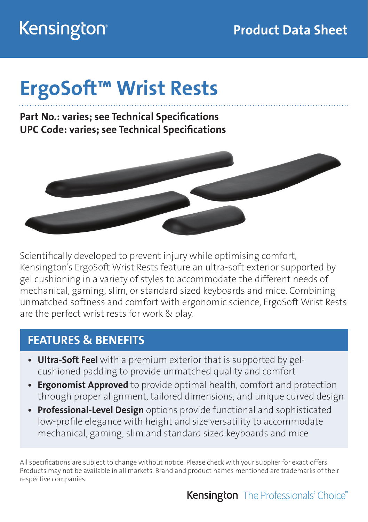# Kensington®

# ErgoSoft™ Wrist Rests

Part No.: varies; see Technical Specifications UPC Code: varies; see Technical Specifications



Scientifically developed to prevent injury while optimising comfort, Kensington's ErgoSoft Wrist Rests feature an ultra-soft exterior supported by gel cushioning in a variety of styles to accommodate the different needs of mechanical, gaming, slim, or standard sized keyboards and mice. Combining unmatched softness and comfort with ergonomic science, ErgoSoft Wrist Rests are the perfect wrist rests for work & play.

#### FEATURES & BENEFITS

- Ultra-Soft Feel with a premium exterior that is supported by gelcushioned padding to provide unmatched quality and comfort
- Ergonomist Approved to provide optimal health, comfort and protection through proper alignment, tailored dimensions, and unique curved design
- Professional-Level Design options provide functional and sophisticated low-profile elegance with height and size versatility to accommodate mechanical, gaming, slim and standard sized keyboards and mice

All specifications are subject to change without notice. Please check with your supplier for exact offers. Products may not be available in all markets. Brand and product names mentioned are trademarks of their respective companies.

#### **Kensington** The Professionals' Choice<sup>"</sup>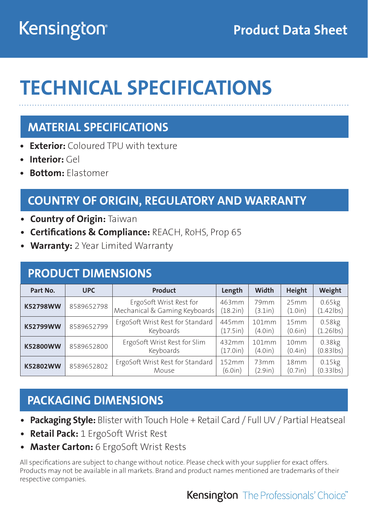# Kensington®

## Product Data Sheet

# TECHNICAL SPECIFICATIONS

### MATERIAL SPECIFICATIONS

- **Exterior:** Coloured TPU with texture
- Interior: Gel
- Bottom: Elastomer

### COUNTRY OF ORIGIN, REGULATORY AND WARRANTY

- Country of Origin: Taiwan
- **Certifications & Compliance: REACH, RoHS, Prop 65**
- Warranty: 2 Year Limited Warranty

#### PRODUCT DIMENSIONS

| Part No.        | <b>Product</b><br><b>UPC</b> |                                                          | Length            | Width            | Height                      | Weight                 |
|-----------------|------------------------------|----------------------------------------------------------|-------------------|------------------|-----------------------------|------------------------|
| <b>K52798WW</b> | 8589652798                   | ErgoSoft Wrist Rest for<br>Mechanical & Gaming Keyboards | 463mm<br>(18.2in) | 79mm<br>(3.1in)  | 25mm<br>(1.0in)             | 0.65kg<br>$(1.42$ lbs) |
| K52799WW        | 8589652799                   | ErgoSoft Wrist Rest for Standard<br>Keyboards            | 445mm<br>(17.5in) | 101mm<br>(4.0in) | 15mm<br>(0.6in)             | 0.58kg<br>$(1.26$ lbs) |
| K52800WW        | 8589652800                   | ErgoSoft Wrist Rest for Slim<br>Keyboards                | 432mm<br>(17.0in) | 101mm<br>(4.0in) | 10mm<br>(0.4in)             | 0.38kg<br>$(0.83$ lbs) |
| K52802WW        | 8589652802                   | ErgoSoft Wrist Rest for Standard<br>Mouse                | 152mm<br>(6.0in)  | 73mm<br>(2.9in)  | 18 <sub>mm</sub><br>(0.7in) | 0.15kg<br>$(0.33$ lbs) |

#### PACKAGING DIMENSIONS

- Packaging Style: Blister with Touch Hole + Retail Card / Full UV / Partial Heatseal
- **Retail Pack:** 1 ErgoSoft Wrist Rest
- Master Carton: 6 ErgoSoft Wrist Rests

All specifications are subject to change without notice. Please check with your supplier for exact offers. Products may not be available in all markets. Brand and product names mentioned are trademarks of their respective companies.

#### **Kensington** The Professionals' Choice<sup>"</sup>